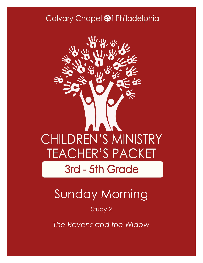## Calvary Chapel @f Philadelphia



# Sunday Morning

### Study 2

*The Ravens and the Widow*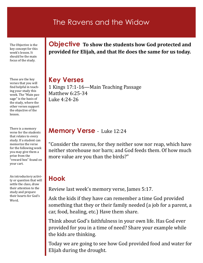## The Ravens and the Widow

The Objective is the key concept for this week's lesson. It should be the main focus of the study.

These are the key verses that you will find helpful in teaching your study this week. The "Main passage" is the basis of the study, where the other verses support the objective of the lesson.

There is a memory verse for the students that relates to every study. If a student can memorize the verse for the following week you may give them a prize from the "reward box" found on your cart.

An introductory activity or question that will settle the class, draw their attention to the study and prepare their hearts for God's Word.

**Objective To show the students how God protected and provided for Elijah, and that He does the same for us today.** 

### **Key Verses**

1 Kings 17:1-16—Main Teaching Passage Matthew 6:25-34 Luke 4:24-26

### **Memory Verse** - Luke 12:24

"Consider the ravens, for they neither sow nor reap, which have neither storehouse nor barn; and God feeds them. Of how much more value are you than the birds?"

## **Hook**

Review last week's memory verse, James 5:17.

Ask the kids if they have can remember a time God provided something that they or their family needed (a job for a parent, a car, food, healing, etc.) Have them share.

Think about God's faithfulness in your own life. Has God ever provided for you in a time of need? Share your example while the kids are thinking.

Today we are going to see how God provided food and water for Elijah during the drought.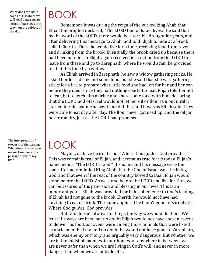What does the Bible say? This is where we will read a passage or series of passages that teach on the subject of the day.

The interpretation/ exegesis of the passage. What does this passage mean? How does this passage apply to my life?

# BOOK

Remember, it was during the reign of the wicked king Ahab that Elijah the prophet declared, *"*The LORD God of Israel lives." He said that by the word of the LORD, there would be a terrible drought for years, and after delivering this message to Ahab, God told Elijah to hide at a brook called Cherith. There he would live for a time, receiving food from ravens and drinking from the brook. Eventually, the brook dried up because there had been no rain, so Elijah again received instruction from the LORD to leave from there and go to Zarephath, where he would again be provided for, but this time by a widow.

As Elijah arrived in Zarephath, he saw a widow gathering sticks. He asked her for a drink and some food, but she said that she was gathering sticks for a fire to prepare what little food she had left for her and her son before they died, since they had nothing else left to eat. Elijah told her not to fear, but to fetch him a drink and share some food with him, declaring that the LORD God of Israel would not let her oil or flour run out until it started to rain again. She went and did this, and it was as Elijah said. They were able to eat day after day. The flour never got used up, and the oil jar never ran dry, just as the LORD had promised.

## LOOK

Maybe you have heard it said, "Where God guides, God provides." This was certainly true of Elijah, and it remains true for us today. Elijah's name means, "The LORD is God." His name and his message were the same. He had reminded King Ahab that the God of Israel was the living God, and that even if the rest of the country bowed to Baal, Elijah would stand before the LORD. As we stand before the LORD and live for Him, we can be assured of His provision and blessing in our lives. This is an important point. Elijah was provided for in his obedience to God's leading. If Elijah had not gone to the brook Cherith, he would not have had anything to eat or drink. The same applies if he hadn't gone to Zarephath. Where God guides, God provides.

But God doesn't always do things the way we would do them. We trust His ways are best, but no doubt Elijah would not have chosen ravens to deliver his food, as ravens were among those animals that were listed as unclean in the Law, and no doubt he would not have gone to Zarephath, which was enemy territory, and arguably very dangerous. But whether we are in the midst of enemies, in our homes, or anywhere in between, we are never safer than when we are living in God's will, and never in more danger than when we are outside of it.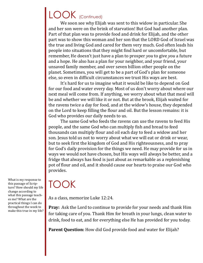## LOOK (Continued)

We soon see why Elijah was sent to this widow in particular. She and her son were on the brink of starvation! But God had another plan. Part of that plan was to provide food and drink for Elijah, and the other part was to show this woman and her son that the LORD God of Israel was the true and living God and cared for them very much. God often leads his people into situations that they might find hard or uncomfortable, but remember, He doesn't just have a plan to prosper *you* to give *you* a future and a hope. He also has a plan for your neighbor, and your friend, your unsaved family member, and over seven billion other people on the planet. Sometimes, you will get to be a part of God's plan for someone else, so even in difficult circumstances we trust His ways are best.

It's hard for us to imagine what it would be like to depend on God for our food and water every day. Most of us don't worry about where our next meal will come from. If anything, we worry about what that meal will be and whether we will like it or not. But at the brook, Elijah waited for the ravens twice a day for food, and at the widow's house, they depended on the Lord to keep filling the flour and oil. But the lesson remains: it is God who provides our daily needs to us.

The same God who feeds the ravens can use the ravens to feed His people, and the same God who can multiply fish and bread to feed thousands can multiply flour and oil each day to feed a widow and her son. Jesus told us not to worry about what we will eat or drink or wear, but to seek first the kingdom of God and His righteousness, and to pray for God's daily provision for the things we need. He may provide for us in ways we would not have chosen, but His ways will always be better, and a fridge that always has food is just about as remarkable as a replenishing pot of flour and oil, and it should cause our hearts to praise our God who provides.

## TOOK

As a class, memorize Luke 12:24.

**Pray:** Ask the Lord to continue to provide for your needs and thank Him for taking care of you. Thank Him for breath in your lungs, clean water to drink, food to eat, and for everything else He has provided for you today.

**Parent Question:** How did God provide food and water for Elijah?

What is my response to this passage of Scripture? How should my life change according to what this passage teaches me? What are the practical things I can do throughout the week to make this true in my life?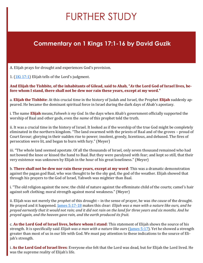# FURTHER STUDY

## **Commentary on 1 Kings 17:1-16 by David Guzik**

A. Elijah prays for drought and experiences God's provision.

1.  $(1$ Ki 17:1) Elijah tells of the Lord's judgment.

**And Elijah the Tishbite, of the inhabitants of Gilead, said to Ahab, "***As* **the Lord God of Israel lives, before whom I stand, there shall not be dew nor rain these years, except at my word."**

a. **Elijah the Tishbite**: At this crucial time in the history of Judah and Israel, the Prophet **Elijah** suddenly appeared. He became the dominant spiritual force in Israel during the dark days of Ahab's apostasy.

i. The name **Elijah** means,*Yahweh is my God*. In the days when Ahab's government officially supported the worship of Baal and other gods, even the *name* of this prophet told the truth.

ii. It was a crucial time in the history of Israel. It looked as if the worship of the true God might be completely eliminated in the northern kingdom. "The land swarmed with the priests of Baal and of the groves – proud of Court favour; glorying in their sudden rise to power; insolent, greedy, licentious, and debased. The fires of persecution were lit, and began to burn with fury." (Meyer)

iii. "The whole land seemed apostate. Of all the thousands of Israel, only seven thousand remained who had not bowed the knee or kissed the hand to Baal. But they were paralysed with fear; and kept so still, that their very existence was unknown by Elijah in the hour of his great loneliness." (Meyer)

b. **There shall not be dew nor rain these years, except at my word**: This was a dramatic demonstration against the pagan god Baal, who was thought to be the sky god, the god of the weather. Elijah showed that through his prayers to the God of Israel, Yahweh was mightier than Baal.

i. "The old religion against the new; the child of nature against the effeminate child of the courts; camel's hair against soft clothing; moral strength against moral weakness." (Meyer)

ii. Elijah was not merely the *prophet* of this drought – in the sense of prayer, he was *the cause* of the drought. He prayed and it happened. [James 5:17](https://www.blueletterbible.org/kjv/james/5/17-18/s_1151017)-18 makes this clear: *Elijah was a man with a nature like ours, and he prayed earnestly that it would not rain; and it did not rain on the land for three years and six months. And he prayed again, and the heaven gave rain, and the earth produced its fruit.*

c. **As the Lord God of Israel lives, before whom I stand**: This statement of Elijah shows the source of his strength. It is specifically said *Elijah was a man with a nature like ours* [\(James 5:17\)](https://www.blueletterbible.org/kjv/james/5/17/s_1151017). Yet he showed a strength greater than most of us in our life with God. We must pay attention to these indications to the source of Elijah's strength.

i. **As the Lord God of Israel lives**: Everyone else felt that the Lord was dead, but for Elijah the Lord lived. He was the supreme reality of Elijah's life.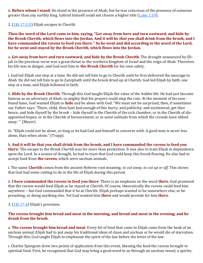ii. **Before whom I stand**: He stood in the presence of Ahab, but he was conscious of the presence of someone greater than any earthly king. Gabriel himself could not choose a higher title  $(Luke 1:19)$  $(Luke 1:19)$ .

2. ([1Ki 17:2](https://www.blueletterbible.org/kjv/1kings/17/2-5/s_308002)-5) Elijah escapes to Cherith.

**Then the word of the Lord came to him, saying, "Get away from here and turn eastward, and hide by the Brook Cherith, which flows into the Jordan. And it will be** *that* **you shall drink from the brook, and I have commanded the ravens to feed you there." So he went and did according to the word of the Lord, for he went and stayed by the Brook Cherith, which flows into the Jordan.**

a. **Get away from here and turn eastward, and hide by the Brook Cherith**: The drought announced by Elijah in the previous verse was a great threat to the northern kingdom of Israel and the reign of Ahab. Therefore his life was in danger, and God sent him to **the Brook Cherith** for his own safety.

i. God led Elijah one step at a time. He did not tell him to go to Cherith until he first delivered the message to Ahab. He did not tell him to go to Zarephath until the brook dried up at Cherith. God led Elijah by faith, one step at a time, and Elijah followed in faith.

ii. **Hide by the Brook Cherith**: Through this God taught Elijah the value of the *hidden* life. He had just become famous as an adversary of Ahab, so mighty that his prayers could stop the rain. At the moment of his newfound fame, God wanted Elijah to **hide** and be alone with God. "We must not be surprised, then, if sometimes our Father says: 'There, child, thou hast had enough of this hurry, and publicity, and excitement; get thee hence, and hide thyself by the brook – hide thyself in the Cherith of the sick chamber; or in the Cherith of disappointed hopes; or in the Cherith of bereavement; or in some solitude from which the crowds have ebbed away.' " (Meyer)

iii. "Elijah could not be alone, so long as he had God and himself to converse with. A good man is never less alone, than when alone." (Trapp)

b. **And it will be that you shall drink from the brook, and I have commanded the ravens to feed you there**: The escape to the Brook Cherith was for more than protection. It was also to train Elijah in dependence upon the Lord. In a season of drought, he had to trust that God could keep this brook flowing. He also had to accept food from **the ravens**, which were unclean animals.

i. The name **Cherith** comes from the ancient Hebrew root meaning, *to cut away, to cut up or off*. This shows that God had some cutting to do in the life of Elijah during this period.

ii. **I have commanded the ravens to feed you there**: There is an emphasis on the word **there**. God promised that the ravens would feed Elijah as he stayed at Cherith. Of course, theoretically the ravens could feed him anywhere – but God commanded that it be at Cherith. Elijah perhaps wanted to be somewhere else, or be preaching, or doing anything else. Yet God wanted him **there** and would provide for him **there**.

3.  $(1$ Ki 17:6) Elijah's provision.

#### **The ravens brought him bread and meat in the morning, and bread and meat in the evening; and he drank from the brook.**

a. **The ravens brought him bread and meat**: Every bit of food that came to Elijah came from the beak of an unclean animal. Elijah had to put away his traditional ideas of clean and unclean or he would die of starvation. Through this, God taught Elijah to emphasize the spirit of the law before the letter of the law.

i. Charles Spurgeon drew two points of application from this event, likening the food the ravens brought to spiritual food. First, he recognized that God may bring a good word to us through an unclean vessel, a spiritu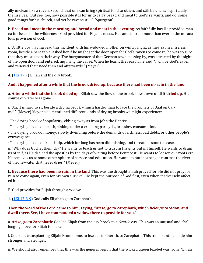ally unclean like a raven. Second, that one can bring spiritual food to others and still be unclean spiritually themselves. "But see, too, how possible it is for us to carry bread and meat to God's servants, and do, some good things for his church, and yet be ravens still!" (Spurgeon)

b. **Bread and meat in the morning, and bread and meat in the evening**: As faithfully has He provided manna for Israel in the wilderness, God provided for Elijah's needs. He came to trust more than ever in the miraculous provision of God.

i. "A little boy, having read this incident with his widowed mother on wintry night, as they sat in a fireless room, beside a bare table, asked her if he might set the door open for God's ravens to come in; he was so sure that they must be on their way. The burgomaster of that German town, passing by, was attracted by the sight of the open door, and entered, inquiring the cause. When he learnt the reason, he said, 'I will be God's raven'; and relieved their need then and afterwards." (Meyer)

4. ([1Ki 17:7\)](https://www.blueletterbible.org/kjv/1kings/17/7/s_308007) Elijah and the dry brook.

#### **And it happened after a while that the brook dried up, because there had been no rain in the land.**

a. **After a while that the brook dried up**: Elijah saw the flow of the brook slow down until it **dried up**. His source of water was gone.

i. "Ah, it is hard to sit beside a drying brook – much harder than to face the prophets of Baal on Carmel." (Meyer) Meyer also mentioned different kinds of drying brooks we might experience:

· The drying brook of popularity, ebbing away as from John the Baptist.

· The drying brook of health, sinking under a creeping paralysis, or a slow consumption.

· The drying brook of money, slowly dwindling before the demands of sickness, bad debts, or other people's extravagance.

· The drying brook of friendship, which for long has been diminishing, and threatens soon to cease.

ii. "Why does God let them dry? He wants to teach us not to trust in His gifts but in Himself. He wants to drain us of self, as He drained the apostles by ten days of waiting before Pentecost. He wants to loosen our roots ere He removes us to some other sphere of service and education. He wants to put in stronger contrast the river of throne-water that never dries." (Meyer)

b. **Because there had been no rain in the land**: This was the drought Elijah prayed for. He did not pray for rain to come again, even for his own survival. He kept the purpose of God first, even when it adversely affected him.

B. God provides for Elijah through a widow.

1.  $(1$ Ki 17:8-9) God calls Elijah to go to Zarephath.

#### **Then the word of the Lord came to him, saying, "Arise, go to Zarephath, which** *belongs* **to Sidon, and dwell there. See, I have commanded a widow there to provide for you."**

a. **Arise, go to Zarephath**: God led Elijah from the dry brook to a *Gentile* city. This was an unusual and challenging move for Elijah to make.

i. God kept transplanting Elijah: From home, to Jezreel, to Cherith, to Zarephath. This transplanting made him stronger and stronger.

ii. We should also remember that this was the general region that the wicked queen Jezebel was from. "Elijah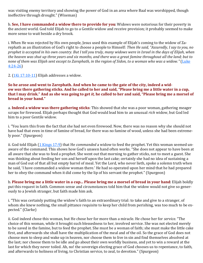was visiting enemy territory and showing the power of God in an area where Baal was worshipped, though ineffective through drought." (Wiseman)

b. **See, I have commanded a widow there to provide for you**: Widows were notorious for their poverty in the ancient world. God told Elijah to go to a Gentile widow and receive provision; it probably seemed to make more sense to wait beside a dry brook.

i. When He was rejected by His own people, Jesus used this example of Elijah's coming to the widow of Zarephath as an illustration of God's right to choose a people to Himself: *Then He said, "Assuredly, I say to you, no prophet is accepted in his own country. But I tell you truly, many widows were in Israel in the days of Elijah, when the heaven was shut up three years and six months, and there was a great famine throughout all the land; but to none of them was Elijah sent except to Zarephath, in the region of Sidon, to a woman who was a widow."* [\(Luke](https://www.blueletterbible.org/kjv/luke/4/24-26/s_977024)  [4:24](https://www.blueletterbible.org/kjv/luke/4/24-26/s_977024)-26)

2. ([1Ki 17:10](https://www.blueletterbible.org/kjv/1kings/17/10-11/s_308010)-11) Elijah addresses a widow.

**So he arose and went to Zarephath. And when he came to the gate of the city, indeed a widow** *was* **there gathering sticks. And he called to her and said, "Please bring me a little water in a cup, that I may drink." And as she was going to get** *it,* **he called to her and said, "Please bring me a morsel of bread in your hand."**

a. **Indeed a widow was there gathering sticks**: This showed that she was a poor woman, gathering meager scraps for firewood. Elijah perhaps thought that God would lead him to an unusual *rich* widow, but God led him to a poor Gentile widow.

i. "You learn this from the fact that she had not even firewood. Now, there was no reason why she should not have had that even in time of famine of bread, for there was no famine of wood, unless she had been extremely poor." (Spurgeon)

ii. God told Elijah [\(1 Kings 17:9\)](https://www.blueletterbible.org/kjv/1kings/17/9/s_308009) that He *commanded* a widow to feed the prophet. Yet this woman seemed unaware of the command. This shows how God's unseen hand often works. "She does not appear to have been at all aware that she was to feed a prophet. She went out that morning to gather sticks, not to meet a guest. She was thinking about feeding her son and herself upon the last cake; certainly she had no idea of sustaining a man of God out of that all but empty barrel of meal. Yet the Lord, who never lieth, spoke a solemn truth when he said, 'I have commanded a widow woman there.' He had so operated upon her mind that he had prepared her to obey the command when it did come by the lip of his servant the prophet." (Spurgeon)

b. **Please bring me a little water in a cup... Please bring me a morsel of bread in your hand**: Elijah boldly put this request in faith. Common sense and circumstances told him that the widow would not give so generously to a Jewish stranger, but faith made him ask.

i. "This was certainly putting the widow's faith to an extraordinary trial: to take and give to a stranger, of whom she knew nothing, the small pittance requisite to keep her child from perishing, was too much to be expected." (Clarke)

ii. God indeed chose this woman, but He chose her for more than a miracle. He chose her for *service*. "The choice of this woman, while it brought such blessedness to her, involved service. She was not elected merely to be saved in the famine, but to feed the prophet. She must be a woman of faith; she must make the little cake first, and afterwards she shall have the multiplication of the meal and of the oil. So the grace of God does not choose men to sleep and wake up in heaven, nor choose them to live in sin and find themselves absolved at the last; nor choose them to be idle and go about their own worldly business, and yet to win a reward at the last for which they never toiled. Ah, no! the sovereign electing grace of God chooses us to repentance, to faith, and afterwards to holiness of living, to Christian service, to zeal, to devotion." (Spurgeon)